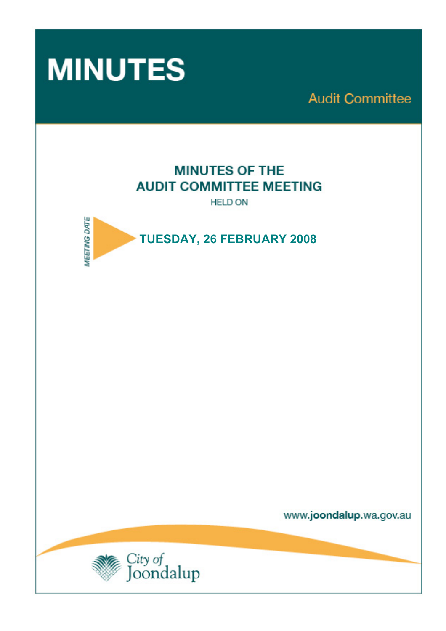

**Audit Committee** 

# **MINUTES OF THE AUDIT COMMITTEE MEETING**

**HELD ON** 



www.joondalup.wa.gov.au

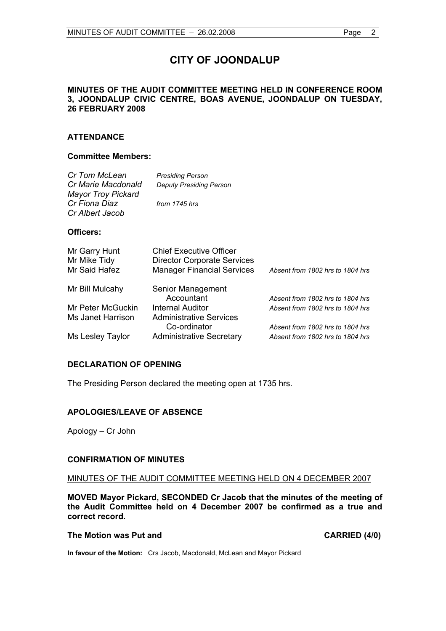# **CITY OF JOONDALUP**

# **MINUTES OF THE AUDIT COMMITTEE MEETING HELD IN CONFERENCE ROOM 3, JOONDALUP CIVIC CENTRE, BOAS AVENUE, JOONDALUP ON TUESDAY, 26 FEBRUARY 2008**

# **ATTENDANCE**

# **Committee Members:**

| Cr Tom McLean                                   | <b>Presiding Person</b>                                              |                                  |
|-------------------------------------------------|----------------------------------------------------------------------|----------------------------------|
| Cr Marie Macdonald<br><b>Mayor Troy Pickard</b> | <b>Deputy Presiding Person</b>                                       |                                  |
| Cr Fiona Diaz<br>Cr Albert Jacob                | from 1745 hrs                                                        |                                  |
| Officers:                                       |                                                                      |                                  |
| Mr Garry Hunt<br>Mr Mike Tidy                   | <b>Chief Executive Officer</b><br><b>Director Corporate Services</b> |                                  |
| Mr Said Hafez                                   | <b>Manager Financial Services</b>                                    | Absent from 1802 hrs to 1804 hrs |
| Mr Bill Mulcahy                                 | Senior Management                                                    |                                  |
|                                                 | Accountant                                                           | Absent from 1802 hrs to 1804 hrs |
| Mr Peter McGuckin                               | Internal Auditor                                                     | Absent from 1802 hrs to 1804 hrs |
| Ms Janet Harrison                               | Administrative Services                                              |                                  |
|                                                 | Co-ordinator                                                         | Absent from 1802 hrs to 1804 hrs |
| Ms Lesley Taylor                                | <b>Administrative Secretary</b>                                      | Absent from 1802 hrs to 1804 hrs |

# **DECLARATION OF OPENING**

The Presiding Person declared the meeting open at 1735 hrs.

# **APOLOGIES/LEAVE OF ABSENCE**

Apology – Cr John

# **CONFIRMATION OF MINUTES**

MINUTES OF THE AUDIT COMMITTEE MEETING HELD ON 4 DECEMBER 2007

**MOVED Mayor Pickard, SECONDED Cr Jacob that the minutes of the meeting of the Audit Committee held on 4 December 2007 be confirmed as a true and correct record.** 

#### The Motion was Put and **CARRIED** (4/0)

**In favour of the Motion:** Crs Jacob, Macdonald, McLean and Mayor Pickard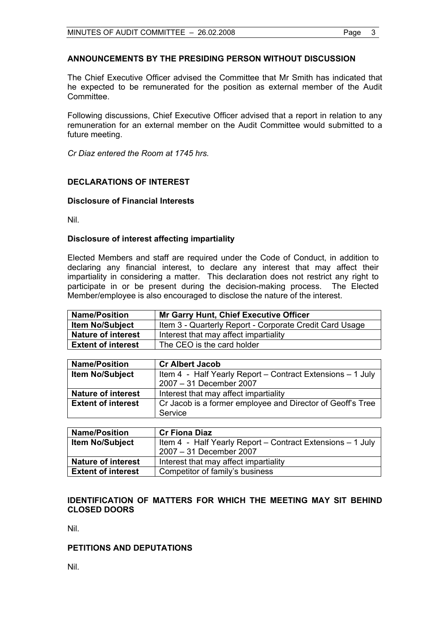# **ANNOUNCEMENTS BY THE PRESIDING PERSON WITHOUT DISCUSSION**

The Chief Executive Officer advised the Committee that Mr Smith has indicated that he expected to be remunerated for the position as external member of the Audit **Committee** 

Following discussions, Chief Executive Officer advised that a report in relation to any remuneration for an external member on the Audit Committee would submitted to a future meeting.

*Cr Diaz entered the Room at 1745 hrs.* 

# **DECLARATIONS OF INTEREST**

# **Disclosure of Financial Interests**

Nil.

# **Disclosure of interest affecting impartiality**

Elected Members and staff are required under the Code of Conduct, in addition to declaring any financial interest, to declare any interest that may affect their impartiality in considering a matter. This declaration does not restrict any right to participate in or be present during the decision-making process. The Elected Member/employee is also encouraged to disclose the nature of the interest.

| <b>Name/Position</b>      | <b>Mr Garry Hunt, Chief Executive Officer</b>           |
|---------------------------|---------------------------------------------------------|
| <b>Item No/Subject</b>    | Item 3 - Quarterly Report - Corporate Credit Card Usage |
| <b>Nature of interest</b> | Interest that may affect impartiality                   |
| <b>Extent of interest</b> | The CEO is the card holder                              |

| <b>Name/Position</b>      | <b>Cr Albert Jacob</b>                                     |
|---------------------------|------------------------------------------------------------|
| <b>Item No/Subject</b>    | Item 4 - Half Yearly Report – Contract Extensions – 1 July |
|                           | 2007 - 31 December 2007                                    |
| <b>Nature of interest</b> | Interest that may affect impartiality                      |
| <b>Extent of interest</b> | Cr Jacob is a former employee and Director of Geoff's Tree |
|                           | Service                                                    |

| <b>Name/Position</b>      | <b>Cr Fiona Diaz</b>                                       |
|---------------------------|------------------------------------------------------------|
| <b>Item No/Subject</b>    | Item 4 - Half Yearly Report - Contract Extensions - 1 July |
|                           | 2007 - 31 December 2007                                    |
| <b>Nature of interest</b> | Interest that may affect impartiality                      |
| <b>Extent of interest</b> | Competitor of family's business                            |

# **IDENTIFICATION OF MATTERS FOR WHICH THE MEETING MAY SIT BEHIND CLOSED DOORS**

Nil.

# **PETITIONS AND DEPUTATIONS**

Nil.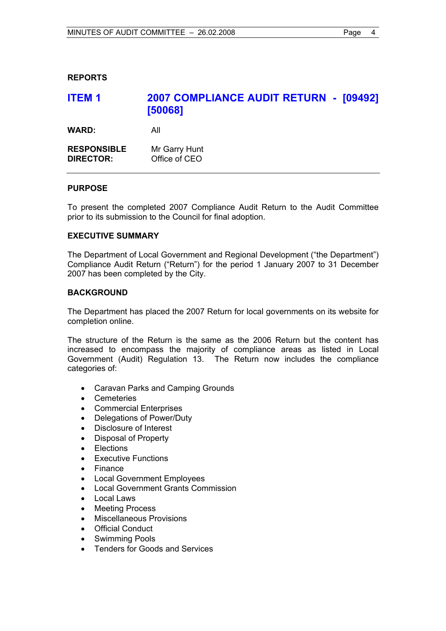# **REPORTS**

| <b>ITEM1</b>                           | 2007 COMPLIANCE AUDIT RETURN - [09492]<br>[50068] |
|----------------------------------------|---------------------------------------------------|
| <b>WARD:</b>                           | All                                               |
| <b>RESPONSIBLE</b><br><b>DIRECTOR:</b> | Mr Garry Hunt<br>Office of CEO                    |

# **PURPOSE**

To present the completed 2007 Compliance Audit Return to the Audit Committee prior to its submission to the Council for final adoption.

# **EXECUTIVE SUMMARY**

The Department of Local Government and Regional Development ("the Department") Compliance Audit Return ("Return") for the period 1 January 2007 to 31 December 2007 has been completed by the City.

# **BACKGROUND**

The Department has placed the 2007 Return for local governments on its website for completion online.

The structure of the Return is the same as the 2006 Return but the content has increased to encompass the majority of compliance areas as listed in Local Government (Audit) Regulation 13. The Return now includes the compliance categories of:

- Caravan Parks and Camping Grounds
- Cemeteries
- Commercial Enterprises
- Delegations of Power/Duty
- Disclosure of Interest
- Disposal of Property
- **Flections**
- **Executive Functions**
- **Finance**
- Local Government Employees
- Local Government Grants Commission
- Local Laws
- **Meeting Process**
- Miscellaneous Provisions
- **Official Conduct**
- Swimming Pools
- Tenders for Goods and Services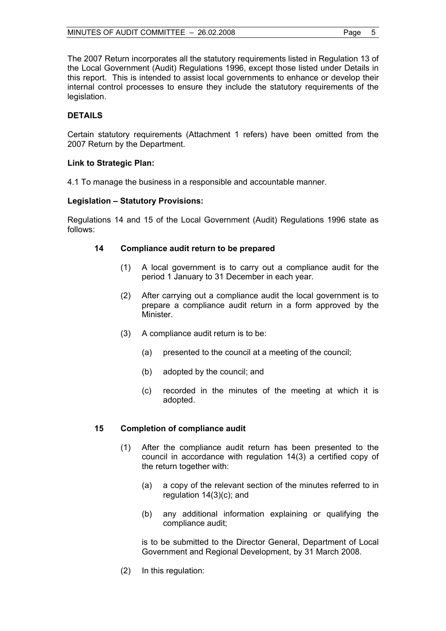The 2007 Return incorporates all the statutory requirements listed in Regulation 13 of the Local Government (Audit) Regulations 1996, except those listed under Details in this report. This is intended to assist local governments to enhance or develop their internal control processes to ensure they include the statutory requirements of the legislation.

# **DETAILS**

Certain statutory requirements (Attachment 1 refers) have been omitted from the 2007 Return by the Department.

# **Link to Strategic Plan:**

4.1 To manage the business in a responsible and accountable manner.

# **Legislation – Statutory Provisions:**

Regulations 14 and 15 of the Local Government (Audit) Regulations 1996 state as follows:

# **14 Compliance audit return to be prepared**

- (1) A local government is to carry out a compliance audit for the period 1 January to 31 December in each year.
- (2) After carrying out a compliance audit the local government is to prepare a compliance audit return in a form approved by the **Minister**
- (3) A compliance audit return is to be:
	- (a) presented to the council at a meeting of the council;
	- (b) adopted by the council; and
	- (c) recorded in the minutes of the meeting at which it is adopted.

#### **15 Completion of compliance audit**

- (1) After the compliance audit return has been presented to the council in accordance with regulation 14(3) a certified copy of the return together with:
	- (a) a copy of the relevant section of the minutes referred to in regulation 14(3)(c); and
	- (b) any additional information explaining or qualifying the compliance audit;

 is to be submitted to the Director General, Department of Local Government and Regional Development, by 31 March 2008.

(2) In this regulation: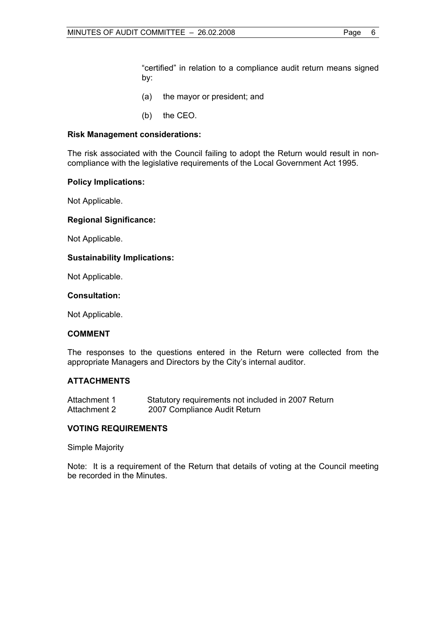"certified" in relation to a compliance audit return means signed by:

- (a) the mayor or president; and
- (b) the CEO.

#### **Risk Management considerations:**

The risk associated with the Council failing to adopt the Return would result in noncompliance with the legislative requirements of the Local Government Act 1995.

# **Policy Implications:**

Not Applicable.

# **Regional Significance:**

Not Applicable.

# **Sustainability Implications:**

Not Applicable.

#### **Consultation:**

Not Applicable.

#### **COMMENT**

The responses to the questions entered in the Return were collected from the appropriate Managers and Directors by the City's internal auditor.

# **ATTACHMENTS**

| Attachment 1 | Statutory requirements not included in 2007 Return |
|--------------|----------------------------------------------------|
| Attachment 2 | 2007 Compliance Audit Return                       |

#### **VOTING REQUIREMENTS**

Simple Majority

Note: It is a requirement of the Return that details of voting at the Council meeting be recorded in the Minutes.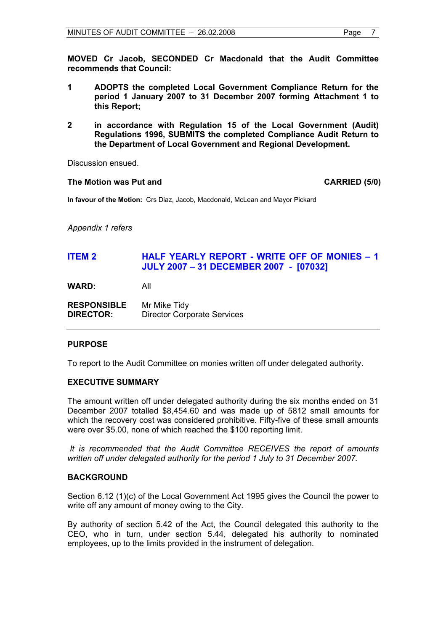**MOVED Cr Jacob, SECONDED Cr Macdonald that the Audit Committee recommends that Council:** 

- **1 ADOPTS the completed Local Government Compliance Return for the period 1 January 2007 to 31 December 2007 forming Attachment 1 to this Report;**
- **2 in accordance with Regulation 15 of the Local Government (Audit) Regulations 1996, SUBMITS the completed Compliance Audit Return to the Department of Local Government and Regional Development.**

Discussion ensued.

#### The Motion was Put and **CARRIED** (5/0)

**In favour of the Motion:** Crs Diaz, Jacob, Macdonald, McLean and Mayor Pickard

*Appendix 1 refers*

# **ITEM 2 HALF YEARLY REPORT - WRITE OFF OF MONIES – 1 JULY 2007 – 31 DECEMBER 2007 - [07032]**

**WARD:** All

**RESPONSIBLE** Mr Mike Tidy **DIRECTOR:** Director Corporate Services

#### **PURPOSE**

To report to the Audit Committee on monies written off under delegated authority.

#### **EXECUTIVE SUMMARY**

The amount written off under delegated authority during the six months ended on 31 December 2007 totalled \$8,454.60 and was made up of 5812 small amounts for which the recovery cost was considered prohibitive. Fifty-five of these small amounts were over \$5.00, none of which reached the \$100 reporting limit.

*It is recommended that the Audit Committee RECEIVES the report of amounts written off under delegated authority for the period 1 July to 31 December 2007.*

#### **BACKGROUND**

Section 6.12 (1)(c) of the Local Government Act 1995 gives the Council the power to write off any amount of money owing to the City.

By authority of section 5.42 of the Act, the Council delegated this authority to the CEO, who in turn, under section 5.44, delegated his authority to nominated employees, up to the limits provided in the instrument of delegation.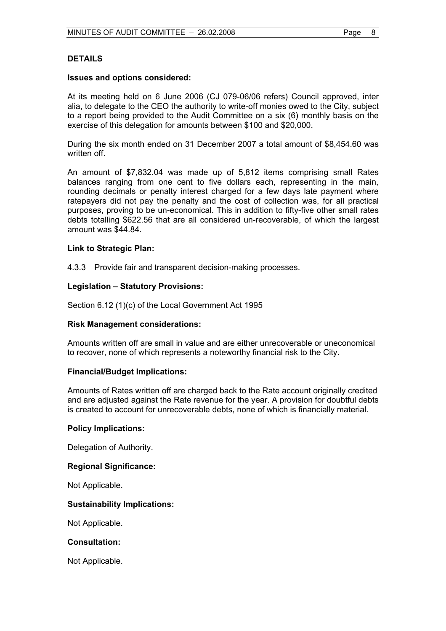#### **DETAILS**

#### **Issues and options considered:**

At its meeting held on 6 June 2006 (CJ 079-06/06 refers) Council approved, inter alia, to delegate to the CEO the authority to write-off monies owed to the City, subject to a report being provided to the Audit Committee on a six (6) monthly basis on the exercise of this delegation for amounts between \$100 and \$20,000.

During the six month ended on 31 December 2007 a total amount of \$8,454.60 was written off

An amount of \$7,832.04 was made up of 5,812 items comprising small Rates balances ranging from one cent to five dollars each, representing in the main, rounding decimals or penalty interest charged for a few days late payment where ratepayers did not pay the penalty and the cost of collection was, for all practical purposes, proving to be un-economical. This in addition to fifty-five other small rates debts totalling \$622.56 that are all considered un-recoverable, of which the largest amount was \$44.84.

#### **Link to Strategic Plan:**

4.3.3 Provide fair and transparent decision-making processes.

#### **Legislation – Statutory Provisions:**

Section 6.12 (1)(c) of the Local Government Act 1995

#### **Risk Management considerations:**

Amounts written off are small in value and are either unrecoverable or uneconomical to recover, none of which represents a noteworthy financial risk to the City.

#### **Financial/Budget Implications:**

Amounts of Rates written off are charged back to the Rate account originally credited and are adjusted against the Rate revenue for the year. A provision for doubtful debts is created to account for unrecoverable debts, none of which is financially material.

#### **Policy Implications:**

Delegation of Authority.

#### **Regional Significance:**

Not Applicable.

#### **Sustainability Implications:**

Not Applicable.

#### **Consultation:**

Not Applicable.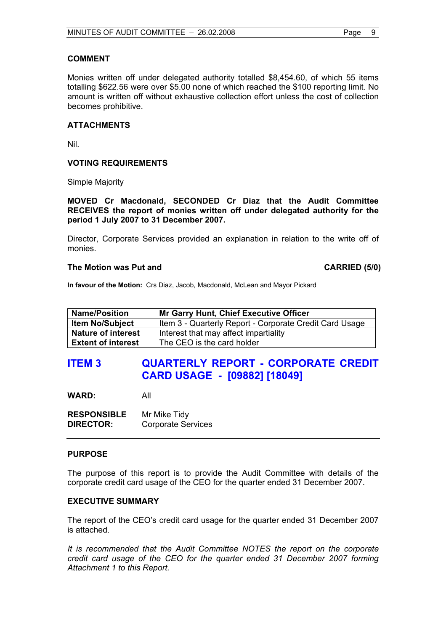# **COMMENT**

Monies written off under delegated authority totalled \$8,454.60, of which 55 items totalling \$622.56 were over \$5.00 none of which reached the \$100 reporting limit. No amount is written off without exhaustive collection effort unless the cost of collection becomes prohibitive.

# **ATTACHMENTS**

Nil.

# **VOTING REQUIREMENTS**

Simple Majority

**MOVED Cr Macdonald, SECONDED Cr Diaz that the Audit Committee RECEIVES the report of monies written off under delegated authority for the period 1 July 2007 to 31 December 2007.** 

Director, Corporate Services provided an explanation in relation to the write off of monies.

#### **The Motion was Put and CARRIED (5/0)**

**In favour of the Motion:** Crs Diaz, Jacob, Macdonald, McLean and Mayor Pickard

| <b>Name/Position</b>      | <b>Mr Garry Hunt, Chief Executive Officer</b>           |
|---------------------------|---------------------------------------------------------|
| <b>Item No/Subject</b>    | Item 3 - Quarterly Report - Corporate Credit Card Usage |
| <b>Nature of interest</b> | Interest that may affect impartiality                   |
| <b>Extent of interest</b> | The CEO is the card holder                              |

# **ITEM 3 QUARTERLY REPORT - CORPORATE CREDIT CARD USAGE - [09882] [18049]**

**WARD:** All

| <b>RESPONSIBLE</b> | Mr Mike Tidy              |
|--------------------|---------------------------|
| <b>DIRECTOR:</b>   | <b>Corporate Services</b> |

#### **PURPOSE**

The purpose of this report is to provide the Audit Committee with details of the corporate credit card usage of the CEO for the quarter ended 31 December 2007.

#### **EXECUTIVE SUMMARY**

The report of the CEO's credit card usage for the quarter ended 31 December 2007 is attached.

*It is recommended that the Audit Committee NOTES the report on the corporate credit card usage of the CEO for the quarter ended 31 December 2007 forming Attachment 1 to this Report.*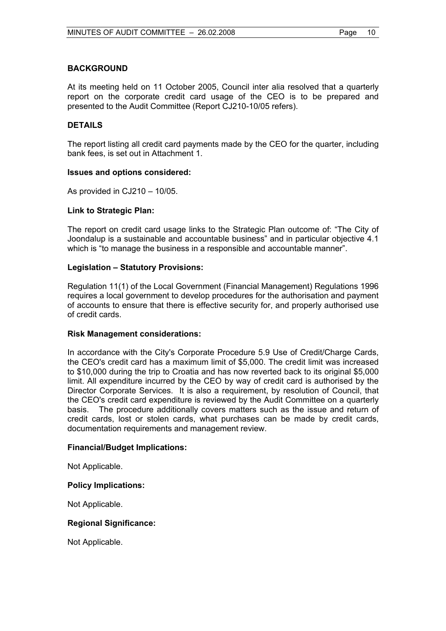# **BACKGROUND**

At its meeting held on 11 October 2005, Council inter alia resolved that a quarterly report on the corporate credit card usage of the CEO is to be prepared and presented to the Audit Committee (Report CJ210-10/05 refers).

# **DETAILS**

The report listing all credit card payments made by the CEO for the quarter, including bank fees, is set out in Attachment 1.

#### **Issues and options considered:**

As provided in CJ210 – 10/05.

# **Link to Strategic Plan:**

The report on credit card usage links to the Strategic Plan outcome of: "The City of Joondalup is a sustainable and accountable business" and in particular objective 4.1 which is "to manage the business in a responsible and accountable manner".

# **Legislation – Statutory Provisions:**

Regulation 11(1) of the Local Government (Financial Management) Regulations 1996 requires a local government to develop procedures for the authorisation and payment of accounts to ensure that there is effective security for, and properly authorised use of credit cards.

#### **Risk Management considerations:**

In accordance with the City's Corporate Procedure 5.9 Use of Credit/Charge Cards, the CEO's credit card has a maximum limit of \$5,000. The credit limit was increased to \$10,000 during the trip to Croatia and has now reverted back to its original \$5,000 limit. All expenditure incurred by the CEO by way of credit card is authorised by the Director Corporate Services. It is also a requirement, by resolution of Council, that the CEO's credit card expenditure is reviewed by the Audit Committee on a quarterly basis. The procedure additionally covers matters such as the issue and return of credit cards, lost or stolen cards, what purchases can be made by credit cards, documentation requirements and management review.

#### **Financial/Budget Implications:**

Not Applicable.

#### **Policy Implications:**

Not Applicable.

#### **Regional Significance:**

Not Applicable.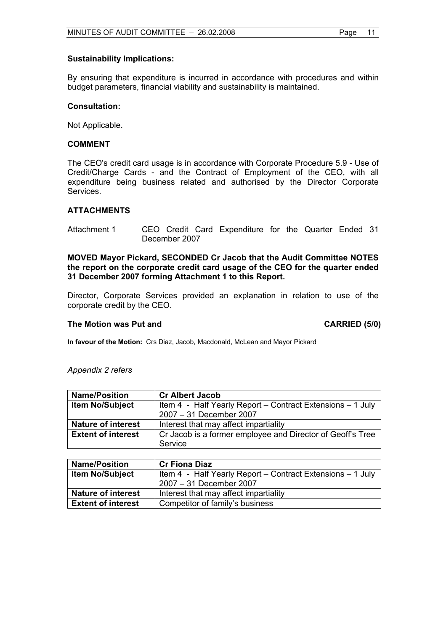#### **Sustainability Implications:**

By ensuring that expenditure is incurred in accordance with procedures and within budget parameters, financial viability and sustainability is maintained.

#### **Consultation:**

Not Applicable.

# **COMMENT**

The CEO's credit card usage is in accordance with Corporate Procedure 5.9 - Use of Credit/Charge Cards - and the Contract of Employment of the CEO, with all expenditure being business related and authorised by the Director Corporate Services.

#### **ATTACHMENTS**

Attachment 1 CEO Credit Card Expenditure for the Quarter Ended 31 December 2007

**MOVED Mayor Pickard, SECONDED Cr Jacob that the Audit Committee NOTES the report on the corporate credit card usage of the CEO for the quarter ended 31 December 2007 forming Attachment 1 to this Report.** 

Director, Corporate Services provided an explanation in relation to use of the corporate credit by the CEO.

#### The Motion was Put and **CARRIED** (5/0)

**In favour of the Motion:** Crs Diaz, Jacob, Macdonald, McLean and Mayor Pickard

#### *Appendix 2 refers*

| <b>Name/Position</b>      | <b>Cr Albert Jacob</b>                                     |
|---------------------------|------------------------------------------------------------|
| <b>Item No/Subject</b>    | Item 4 - Half Yearly Report – Contract Extensions – 1 July |
|                           | 2007 - 31 December 2007                                    |
| <b>Nature of interest</b> | Interest that may affect impartiality                      |
| <b>Extent of interest</b> | Cr Jacob is a former employee and Director of Geoff's Tree |
|                           | Service                                                    |

| <b>Name/Position</b>      | <b>Cr Fiona Diaz</b>                                       |
|---------------------------|------------------------------------------------------------|
| <b>Item No/Subject</b>    | Item 4 - Half Yearly Report - Contract Extensions - 1 July |
|                           | 2007 - 31 December 2007                                    |
| <b>Nature of interest</b> | Interest that may affect impartiality                      |
| <b>Extent of interest</b> | Competitor of family's business                            |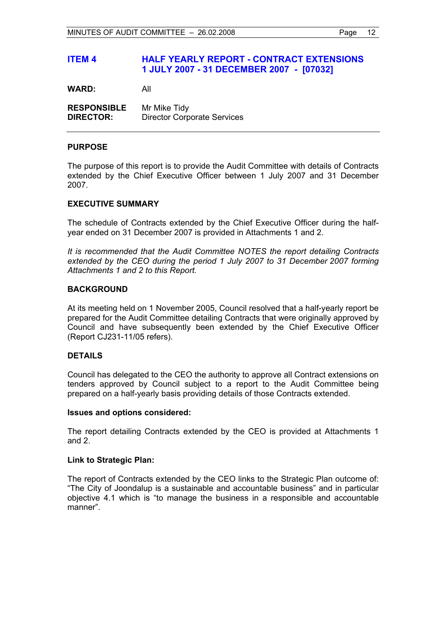# **ITEM 4 HALF YEARLY REPORT - CONTRACT EXTENSIONS 1 JULY 2007 - 31 DECEMBER 2007 - [07032]**

**WARD:** All

**RESPONSIBLE** Mr Mike Tidy **DIRECTOR:** Director Corporate Services

#### **PURPOSE**

The purpose of this report is to provide the Audit Committee with details of Contracts extended by the Chief Executive Officer between 1 July 2007 and 31 December 2007.

# **EXECUTIVE SUMMARY**

The schedule of Contracts extended by the Chief Executive Officer during the halfyear ended on 31 December 2007 is provided in Attachments 1 and 2.

*It is recommended that the Audit Committee NOTES the report detailing Contracts extended by the CEO during the period 1 July 2007 to 31 December 2007 forming Attachments 1 and 2 to this Report.*

# **BACKGROUND**

At its meeting held on 1 November 2005, Council resolved that a half-yearly report be prepared for the Audit Committee detailing Contracts that were originally approved by Council and have subsequently been extended by the Chief Executive Officer (Report CJ231-11/05 refers).

#### **DETAILS**

Council has delegated to the CEO the authority to approve all Contract extensions on tenders approved by Council subject to a report to the Audit Committee being prepared on a half-yearly basis providing details of those Contracts extended.

#### **Issues and options considered:**

The report detailing Contracts extended by the CEO is provided at Attachments 1 and 2.

#### **Link to Strategic Plan:**

The report of Contracts extended by the CEO links to the Strategic Plan outcome of: "The City of Joondalup is a sustainable and accountable business" and in particular objective 4.1 which is "to manage the business in a responsible and accountable manner".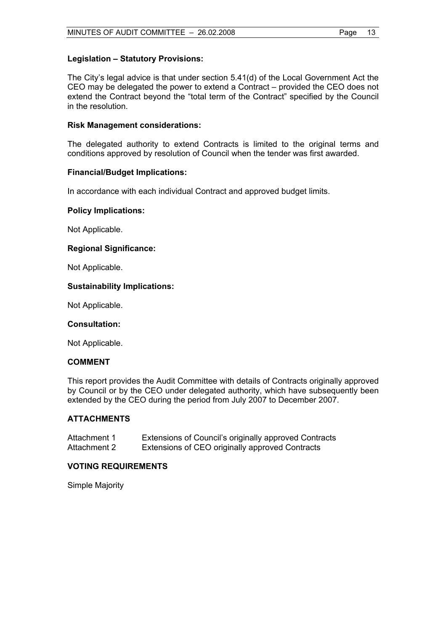# **Legislation – Statutory Provisions:**

The City's legal advice is that under section 5.41(d) of the Local Government Act the CEO may be delegated the power to extend a Contract – provided the CEO does not extend the Contract beyond the "total term of the Contract" specified by the Council in the resolution.

# **Risk Management considerations:**

The delegated authority to extend Contracts is limited to the original terms and conditions approved by resolution of Council when the tender was first awarded.

# **Financial/Budget Implications:**

In accordance with each individual Contract and approved budget limits.

# **Policy Implications:**

Not Applicable.

# **Regional Significance:**

Not Applicable.

# **Sustainability Implications:**

Not Applicable.

#### **Consultation:**

Not Applicable.

#### **COMMENT**

This report provides the Audit Committee with details of Contracts originally approved by Council or by the CEO under delegated authority, which have subsequently been extended by the CEO during the period from July 2007 to December 2007.

# **ATTACHMENTS**

| Attachment 1 | Extensions of Council's originally approved Contracts |
|--------------|-------------------------------------------------------|
| Attachment 2 | Extensions of CEO originally approved Contracts       |

#### **VOTING REQUIREMENTS**

Simple Majority